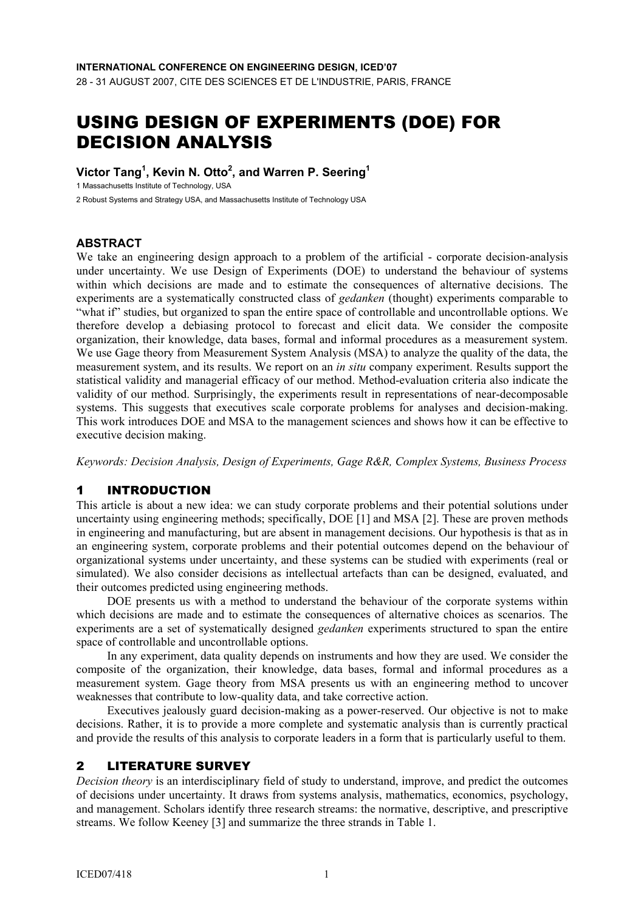28 - 31 AUGUST 2007, CITE DES SCIENCES ET DE L'INDUSTRIE, PARIS, FRANCE

# USING DESIGN OF EXPERIMENTS (DOE) FOR DECISION ANALYSIS

#### **Victor Tang1 , Kevin N. Otto2 , and Warren P. Seering1**

1 Massachusetts Institute of Technology, USA

2 Robust Systems and Strategy USA, and Massachusetts Institute of Technology USA

## **ABSTRACT**

We take an engineering design approach to a problem of the artificial - corporate decision-analysis under uncertainty. We use Design of Experiments (DOE) to understand the behaviour of systems within which decisions are made and to estimate the consequences of alternative decisions. The experiments are a systematically constructed class of *gedanken* (thought) experiments comparable to "what if" studies, but organized to span the entire space of controllable and uncontrollable options. We therefore develop a debiasing protocol to forecast and elicit data. We consider the composite organization, their knowledge, data bases, formal and informal procedures as a measurement system. We use Gage theory from Measurement System Analysis (MSA) to analyze the quality of the data, the measurement system, and its results. We report on an *in situ* company experiment. Results support the statistical validity and managerial efficacy of our method. Method-evaluation criteria also indicate the validity of our method. Surprisingly, the experiments result in representations of near-decomposable systems. This suggests that executives scale corporate problems for analyses and decision-making. This work introduces DOE and MSA to the management sciences and shows how it can be effective to executive decision making.

*Keywords: Decision Analysis, Design of Experiments, Gage R&R, Complex Systems, Business Process* 

# 1 INTRODUCTION

This article is about a new idea: we can study corporate problems and their potential solutions under uncertainty using engineering methods; specifically, DOE [1] and MSA [2]. These are proven methods in engineering and manufacturing, but are absent in management decisions. Our hypothesis is that as in an engineering system, corporate problems and their potential outcomes depend on the behaviour of organizational systems under uncertainty, and these systems can be studied with experiments (real or simulated). We also consider decisions as intellectual artefacts than can be designed, evaluated, and their outcomes predicted using engineering methods.

 DOE presents us with a method to understand the behaviour of the corporate systems within which decisions are made and to estimate the consequences of alternative choices as scenarios. The experiments are a set of systematically designed *gedanken* experiments structured to span the entire space of controllable and uncontrollable options.

 In any experiment, data quality depends on instruments and how they are used. We consider the composite of the organization, their knowledge, data bases, formal and informal procedures as a measurement system. Gage theory from MSA presents us with an engineering method to uncover weaknesses that contribute to low-quality data, and take corrective action.

 Executives jealously guard decision-making as a power-reserved. Our objective is not to make decisions. Rather, it is to provide a more complete and systematic analysis than is currently practical and provide the results of this analysis to corporate leaders in a form that is particularly useful to them.

# 2 LITERATURE SURVEY

*Decision theory* is an interdisciplinary field of study to understand, improve, and predict the outcomes of decisions under uncertainty. It draws from systems analysis, mathematics, economics, psychology, and management. Scholars identify three research streams: the normative, descriptive, and prescriptive streams. We follow Keeney [3] and summarize the three strands in Table 1.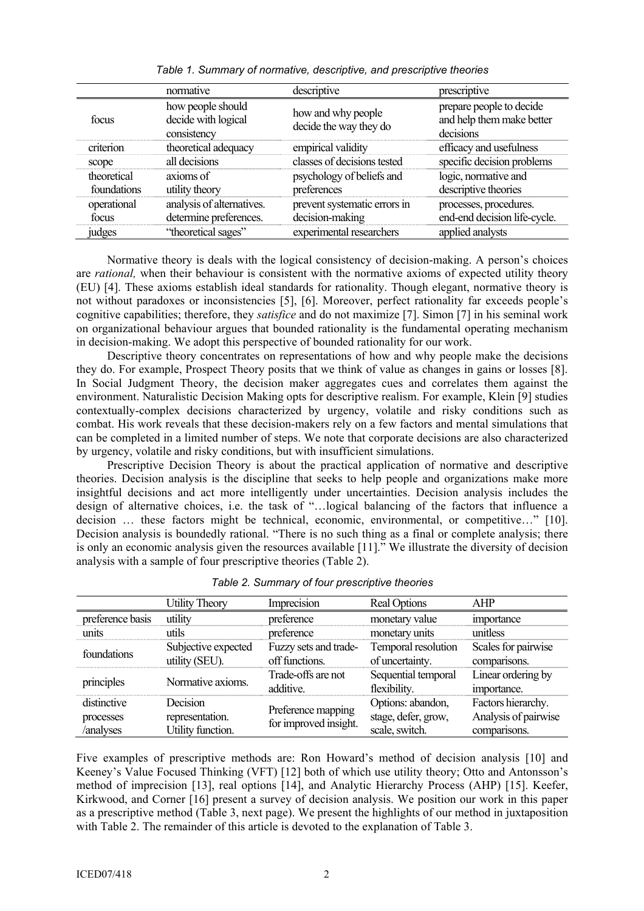|                            | normative                                               | descriptive                                     | prescriptive                                                       |
|----------------------------|---------------------------------------------------------|-------------------------------------------------|--------------------------------------------------------------------|
| focus                      | how people should<br>decide with logical<br>consistency | how and why people<br>decide the way they do    | prepare people to decide<br>and help them make better<br>decisions |
| criterion                  | theoretical adequacy                                    | empirical validity                              | efficacy and usefulness                                            |
| scope                      | all decisions                                           | classes of decisions tested                     | specific decision problems                                         |
| theoretical<br>foundations | axioms of<br>utility theory                             | psychology of beliefs and<br>preferences        | logic, normative and<br>descriptive theories                       |
| operational<br>focus       | analysis of alternatives.<br>determine preferences.     | prevent systematic errors in<br>decision-making | processes, procedures.<br>end-end decision life-cycle.             |
| judges                     | "theoretical sages"                                     | experimental researchers                        | applied analysts                                                   |

*Table 1. Summary of normative, descriptive, and prescriptive theories* 

 Normative theory is deals with the logical consistency of decision-making. A person's choices are *rational,* when their behaviour is consistent with the normative axioms of expected utility theory (EU) [4]. These axioms establish ideal standards for rationality. Though elegant, normative theory is not without paradoxes or inconsistencies [5], [6]. Moreover, perfect rationality far exceeds people's cognitive capabilities; therefore, they *satisfice* and do not maximize [7]. Simon [7] in his seminal work on organizational behaviour argues that bounded rationality is the fundamental operating mechanism in decision-making. We adopt this perspective of bounded rationality for our work.

 Descriptive theory concentrates on representations of how and why people make the decisions they do. For example, Prospect Theory posits that we think of value as changes in gains or losses [8]. In Social Judgment Theory, the decision maker aggregates cues and correlates them against the environment. Naturalistic Decision Making opts for descriptive realism. For example, Klein [9] studies contextually-complex decisions characterized by urgency, volatile and risky conditions such as combat. His work reveals that these decision-makers rely on a few factors and mental simulations that can be completed in a limited number of steps. We note that corporate decisions are also characterized by urgency, volatile and risky conditions, but with insufficient simulations.

 Prescriptive Decision Theory is about the practical application of normative and descriptive theories. Decision analysis is the discipline that seeks to help people and organizations make more insightful decisions and act more intelligently under uncertainties. Decision analysis includes the design of alternative choices, i.e. the task of "…logical balancing of the factors that influence a decision … these factors might be technical, economic, environmental, or competitive…" [10]. Decision analysis is boundedly rational. "There is no such thing as a final or complete analysis; there is only an economic analysis given the resources available [11]." We illustrate the diversity of decision analysis with a sample of four prescriptive theories (Table 2).

|                                       | <b>Utility Theory</b>                            | Imprecision                                 | <b>Real Options</b>                                        | AHP                                                        |
|---------------------------------------|--------------------------------------------------|---------------------------------------------|------------------------------------------------------------|------------------------------------------------------------|
| preference basis                      | utility                                          | preference                                  | monetary value                                             | importance                                                 |
| units                                 | utils                                            | preference                                  | monetary units                                             | unitless                                                   |
| foundations                           | Subjective expected<br>utility (SEU).            | Fuzzy sets and trade-<br>off functions.     | Temporal resolution<br>of uncertainty.                     | Scales for pairwise<br>comparisons.                        |
| principles                            | Normative axioms.                                | Trade-offs are not<br>additive.             | Sequential temporal<br>flexibility.                        | Linear ordering by<br>importance.                          |
| distinctive<br>processes<br>/analyses | Decision<br>representation.<br>Utility function. | Preference mapping<br>for improved insight. | Options: abandon,<br>stage, defer, grow,<br>scale, switch. | Factors hierarchy.<br>Analysis of pairwise<br>comparisons. |

| Table 2. Summary of four prescriptive theories |  |  |
|------------------------------------------------|--|--|
|                                                |  |  |

Five examples of prescriptive methods are: Ron Howard's method of decision analysis [10] and Keeney's Value Focused Thinking (VFT) [12] both of which use utility theory; Otto and Antonsson's method of imprecision [13], real options [14], and Analytic Hierarchy Process (AHP) [15]. Keefer, Kirkwood, and Corner [16] present a survey of decision analysis. We position our work in this paper as a prescriptive method (Table 3, next page). We present the highlights of our method in juxtaposition with Table 2. The remainder of this article is devoted to the explanation of Table 3.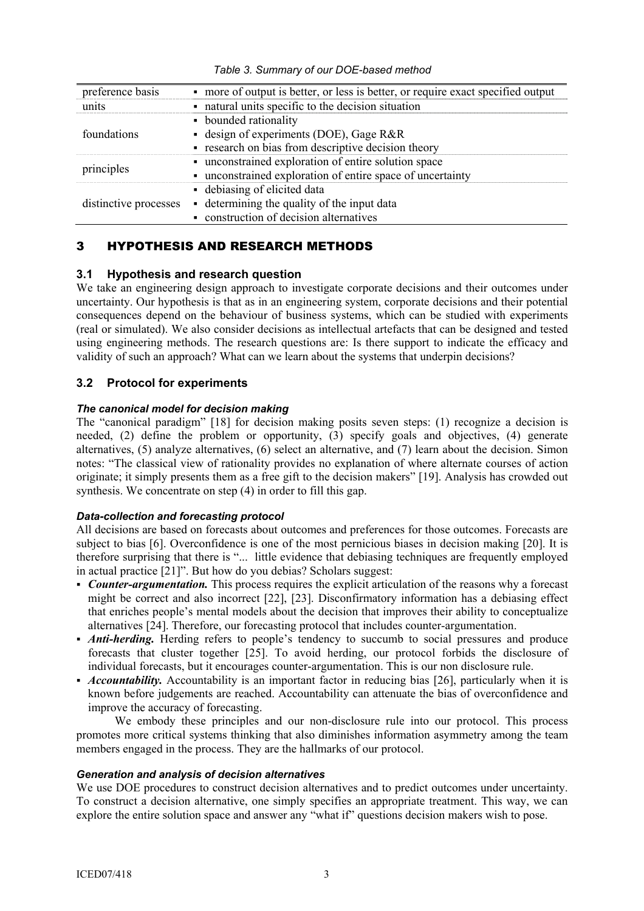| preference basis      | • more of output is better, or less is better, or require exact specified output |
|-----------------------|----------------------------------------------------------------------------------|
| units                 | • natural units specific to the decision situation                               |
|                       | • bounded rationality                                                            |
| foundations           | - design of experiments (DOE), Gage $R&R$                                        |
|                       | • research on bias from descriptive decision theory                              |
|                       | • unconstrained exploration of entire solution space                             |
| principles            | • unconstrained exploration of entire space of uncertainty                       |
|                       | • debiasing of elicited data                                                     |
| distinctive processes | • determining the quality of the input data                                      |
|                       | • construction of decision alternatives                                          |

*Table 3. Summary of our DOE-based method* 

# 3 HYPOTHESIS AND RESEARCH METHODS

## **3.1 Hypothesis and research question**

We take an engineering design approach to investigate corporate decisions and their outcomes under uncertainty. Our hypothesis is that as in an engineering system, corporate decisions and their potential consequences depend on the behaviour of business systems, which can be studied with experiments (real or simulated). We also consider decisions as intellectual artefacts that can be designed and tested using engineering methods. The research questions are: Is there support to indicate the efficacy and validity of such an approach? What can we learn about the systems that underpin decisions?

# **3.2 Protocol for experiments**

## *The canonical model for decision making*

The "canonical paradigm" [18] for decision making posits seven steps: (1) recognize a decision is needed, (2) define the problem or opportunity, (3) specify goals and objectives, (4) generate alternatives, (5) analyze alternatives, (6) select an alternative, and (7) learn about the decision. Simon notes: "The classical view of rationality provides no explanation of where alternate courses of action originate; it simply presents them as a free gift to the decision makers" [19]. Analysis has crowded out synthesis. We concentrate on step (4) in order to fill this gap.

## *Data-collection and forecasting protocol*

All decisions are based on forecasts about outcomes and preferences for those outcomes. Forecasts are subject to bias [6]. Overconfidence is one of the most pernicious biases in decision making [20]. It is therefore surprising that there is "... little evidence that debiasing techniques are frequently employed in actual practice [21]". But how do you debias? Scholars suggest:

- *Counter-argumentation.* This process requires the explicit articulation of the reasons why a forecast might be correct and also incorrect [22], [23]. Disconfirmatory information has a debiasing effect that enriches people's mental models about the decision that improves their ability to conceptualize alternatives [24]. Therefore, our forecasting protocol that includes counter-argumentation.
- *Anti-herding.* Herding refers to people's tendency to succumb to social pressures and produce forecasts that cluster together [25]. To avoid herding, our protocol forbids the disclosure of individual forecasts, but it encourages counter-argumentation. This is our non disclosure rule.
- *Accountability*. Accountability is an important factor in reducing bias [26], particularly when it is known before judgements are reached. Accountability can attenuate the bias of overconfidence and improve the accuracy of forecasting.

We embody these principles and our non-disclosure rule into our protocol. This process promotes more critical systems thinking that also diminishes information asymmetry among the team members engaged in the process. They are the hallmarks of our protocol.

## *Generation and analysis of decision alternatives*

We use DOE procedures to construct decision alternatives and to predict outcomes under uncertainty. To construct a decision alternative, one simply specifies an appropriate treatment. This way, we can explore the entire solution space and answer any "what if" questions decision makers wish to pose.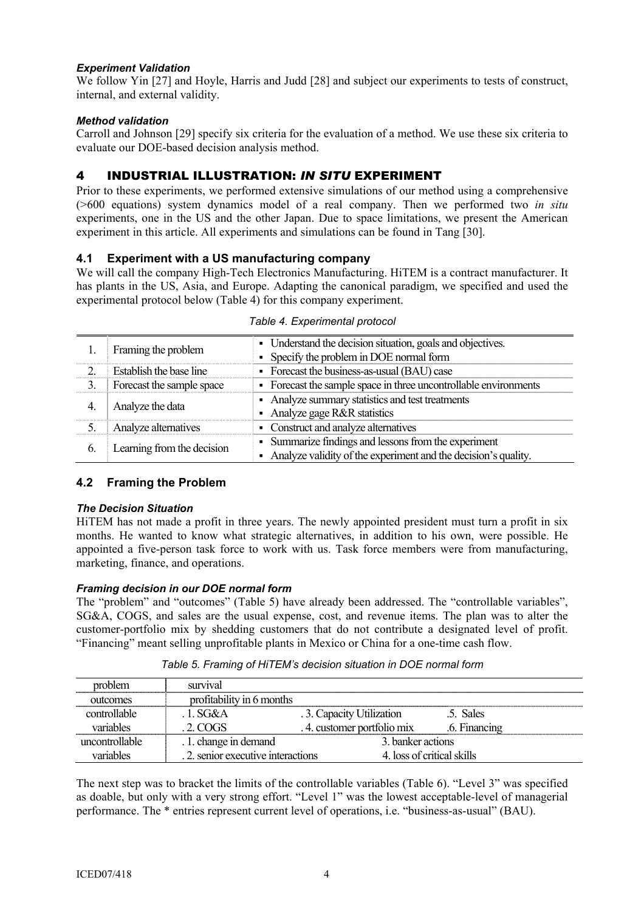#### *Experiment Validation*

We follow Yin [27] and Hoyle, Harris and Judd [28] and subject our experiments to tests of construct, internal, and external validity.

#### *Method validation*

Carroll and Johnson [29] specify six criteria for the evaluation of a method. We use these six criteria to evaluate our DOE-based decision analysis method.

# 4 INDUSTRIAL ILLUSTRATION: *IN SITU* EXPERIMENT

Prior to these experiments, we performed extensive simulations of our method using a comprehensive (>600 equations) system dynamics model of a real company. Then we performed two *in situ* experiments, one in the US and the other Japan. Due to space limitations, we present the American experiment in this article. All experiments and simulations can be found in Tang [30].

## **4.1 Experiment with a US manufacturing company**

We will call the company High-Tech Electronics Manufacturing. HiTEM is a contract manufacturer. It has plants in the US, Asia, and Europe. Adapting the canonical paradigm, we specified and used the experimental protocol below (Table 4) for this company experiment.

|    | Framing the problem        | • Understand the decision situation, goals and objectives.<br>• Specify the problem in DOE normal form                   |
|----|----------------------------|--------------------------------------------------------------------------------------------------------------------------|
|    | Establish the base line    | • Forecast the business-as-usual (BAU) case                                                                              |
|    | Forecast the sample space  | • Forecast the sample space in three uncontrollable environments                                                         |
|    | Analyze the data           | • Analyze summary statistics and test treatments<br>• Analyze gage R&R statistics                                        |
|    | Analyze alternatives       | • Construct and analyze alternatives                                                                                     |
| 6. | Learning from the decision | • Summarize findings and lessons from the experiment<br>• Analyze validity of the experiment and the decision's quality. |

#### *Table 4. Experimental protocol*

## **4.2 Framing the Problem**

#### *The Decision Situation*

HiTEM has not made a profit in three years. The newly appointed president must turn a profit in six months. He wanted to know what strategic alternatives, in addition to his own, were possible. He appointed a five-person task force to work with us. Task force members were from manufacturing, marketing, finance, and operations.

#### *Framing decision in our DOE normal form*

The "problem" and "outcomes" (Table 5) have already been addressed. The "controllable variables", SG&A, COGS, and sales are the usual expense, cost, and revenue items. The plan was to alter the customer-portfolio mix by shedding customers that do not contribute a designated level of profit. "Financing" meant selling unprofitable plants in Mexico or China for a one-time cash flow.

| problem        | survival                          |                            |                            |
|----------------|-----------------------------------|----------------------------|----------------------------|
| outcomes       | profitability in 6 months         |                            |                            |
| controllable   | . 1. $SG&A$                       | .3. Capacity Utilization   | .5. Sales                  |
| variables      | $2$ COGS                          | .4. customer portfolio mix | .6. Financing              |
| uncontrollable | . 1. change in demand             | 3. banker actions          |                            |
| variables      | .2. senior executive interactions |                            | 4. loss of critical skills |

*Table 5. Framing of HiTEM's decision situation in DOE normal form* 

The next step was to bracket the limits of the controllable variables (Table 6). "Level 3" was specified as doable, but only with a very strong effort. "Level 1" was the lowest acceptable-level of managerial performance. The \* entries represent current level of operations, i.e. "business-as-usual" (BAU).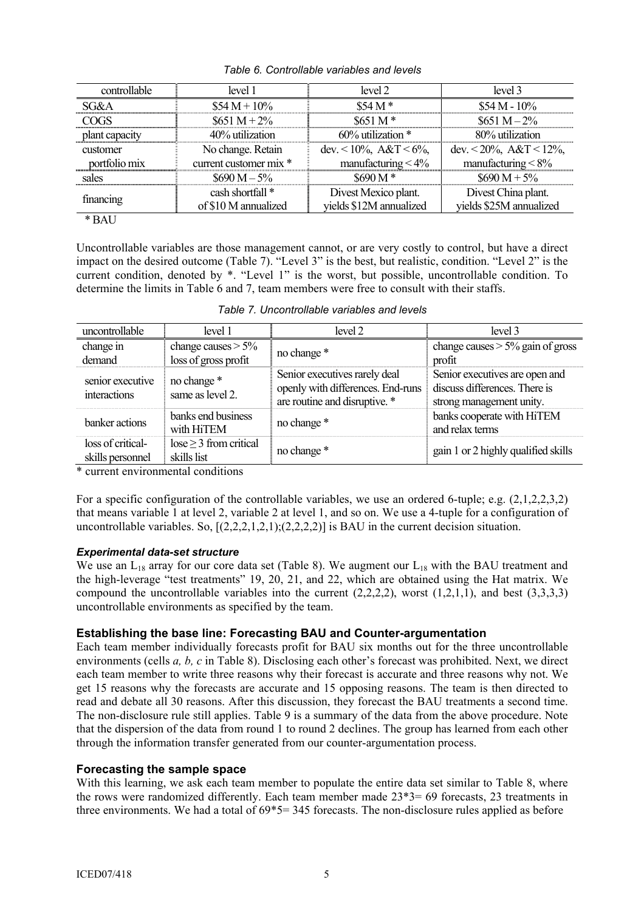| controllable   | level 1                | level 2                           | level 3                            |  |
|----------------|------------------------|-----------------------------------|------------------------------------|--|
| SG&A           | $$54 M + 10\%$         | $$54 M*$                          | $$54 M - 10\%$                     |  |
| YY Y Y         | $$651 M + 2\%$         | $$651 M*$                         | $$651 M - 2\%$                     |  |
| plant capacity | 40% utilization        | $60\%$ utilization $*$            | 80% utilization                    |  |
| customer       | No change. Retain      | dev. $\lt 10\%$ , A&T $\lt 6\%$ , | dev. $\lt 20\%$ , A&T $\lt 12\%$ , |  |
| portfolio mix  | current customer mix * | manufacturing $<$ 4%              | manufacturing $< 8\%$              |  |
| sales          | $$690 M - 5\%$         | \$690 M *                         | $$690 M + 5\%$                     |  |
|                | cash shortfall *       | Divest Mexico plant.              | Divest China plant.                |  |
| financing      | of \$10 M annualized   | vields \$12M annualized           | yields \$25M annualized            |  |
|                |                        |                                   |                                    |  |

*Table 6. Controllable variables and levels* 

Uncontrollable variables are those management cannot, or are very costly to control, but have a direct impact on the desired outcome (Table 7). "Level 3" is the best, but realistic, condition. "Level 2" is the current condition, denoted by \*. "Level 1" is the worst, but possible, uncontrollable condition. To determine the limits in Table 6 and 7, team members were free to consult with their staffs.

|  | Table 7. Uncontrollable variables and levels |  |  |
|--|----------------------------------------------|--|--|
|--|----------------------------------------------|--|--|

| uncontrollable                        | level 1                                       | level 2                                                                                             | level 3                                                                                     |
|---------------------------------------|-----------------------------------------------|-----------------------------------------------------------------------------------------------------|---------------------------------------------------------------------------------------------|
| change in<br>demand                   | change causes $> 5\%$<br>loss of gross profit | no change *                                                                                         | change causes $> 5\%$ gain of gross<br>profit                                               |
| senior executive<br>interactions      | no change *<br>same as level 2.               | Senior executives rarely deal<br>openly with differences. End-runs<br>are routine and disruptive. * | Senior executives are open and<br>discuss differences. There is<br>strong management unity. |
| banker actions                        | banks end business<br>with HiTEM              | no change *                                                                                         | banks cooperate with HiTEM<br>and relax terms                                               |
| loss of critical-<br>skills personnel | $lose \geq 3$ from critical<br>skills list    | no change *                                                                                         | gain 1 or 2 highly qualified skills                                                         |

\* current environmental conditions

For a specific configuration of the controllable variables, we use an ordered 6-tuple; e.g. (2,1,2,2,3,2) that means variable 1 at level 2, variable 2 at level 1, and so on. We use a 4-tuple for a configuration of uncontrollable variables. So,  $[(2,2,2,1,2,1);(2,2,2,2)]$  is BAU in the current decision situation.

## *Experimental data-set structure*

We use an  $L_{18}$  array for our core data set (Table 8). We augment our  $L_{18}$  with the BAU treatment and the high-leverage "test treatments" 19, 20, 21, and 22, which are obtained using the Hat matrix. We compound the uncontrollable variables into the current  $(2,2,2,2)$ , worst  $(1,2,1,1)$ , and best  $(3,3,3,3)$ uncontrollable environments as specified by the team.

## **Establishing the base line: Forecasting BAU and Counter-argumentation**

Each team member individually forecasts profit for BAU six months out for the three uncontrollable environments (cells *a, b, c* in Table 8). Disclosing each other's forecast was prohibited. Next, we direct each team member to write three reasons why their forecast is accurate and three reasons why not. We get 15 reasons why the forecasts are accurate and 15 opposing reasons. The team is then directed to read and debate all 30 reasons. After this discussion, they forecast the BAU treatments a second time. The non-disclosure rule still applies. Table 9 is a summary of the data from the above procedure. Note that the dispersion of the data from round 1 to round 2 declines. The group has learned from each other through the information transfer generated from our counter-argumentation process.

## **Forecasting the sample space**

With this learning, we ask each team member to populate the entire data set similar to Table 8, where the rows were randomized differently. Each team member made 23\*3= 69 forecasts, 23 treatments in three environments. We had a total of 69\*5= 345 forecasts. The non-disclosure rules applied as before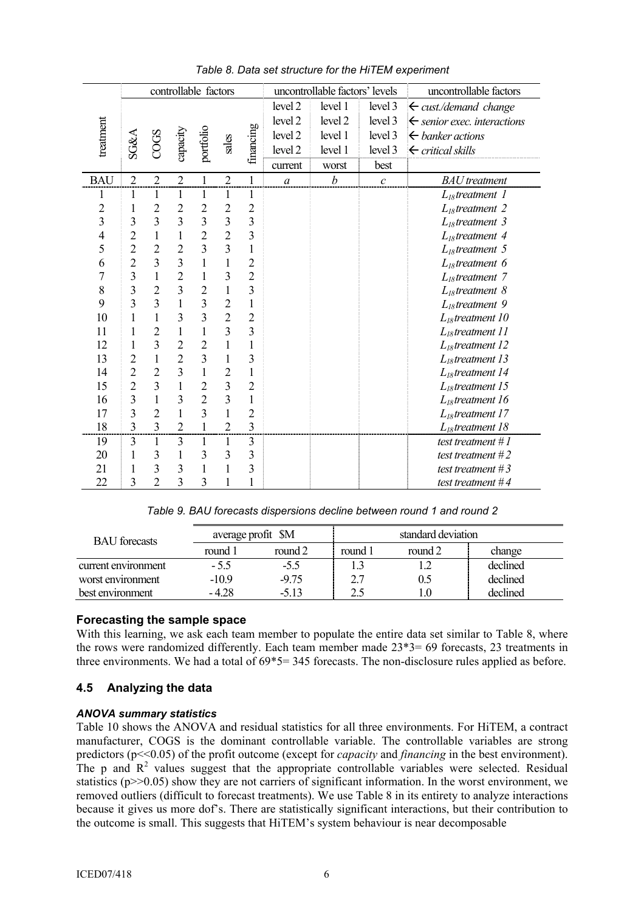|                | controllable factors    |                         |                |                | uncontrollable factors' levels |                         |                  |                  | uncontrollable factors |                                        |
|----------------|-------------------------|-------------------------|----------------|----------------|--------------------------------|-------------------------|------------------|------------------|------------------------|----------------------------------------|
|                |                         |                         |                |                |                                |                         | level 2          | level 1          | level 3                | $\leftarrow$ cust./demand change       |
|                |                         |                         |                |                |                                |                         | level 2          | level 2          | level 3                | $\leftarrow$ senior exec. interactions |
| treatment      |                         | COGS                    | capacity       | portfolio      |                                | financing               | level 2          | level 1          | level 3                | $\leftarrow$ banker actions            |
|                | SG&A                    |                         |                |                | sales                          |                         | level 2          | level 1          | level 3                | $\leftarrow$ critical skills           |
|                |                         |                         |                |                |                                |                         | current          | worst            | best                   |                                        |
| <b>BAU</b>     | $\overline{2}$          | $\overline{2}$          | $\overline{2}$ | 1              | $\overline{2}$                 | $\mathbf{1}$            | $\boldsymbol{a}$ | $\boldsymbol{b}$ | $\boldsymbol{c}$       | <b>BAU</b> treatment                   |
| 1              | 1                       | $\mathbf{1}$            | $\mathbf{1}$   | 1              | 1                              | 1                       |                  |                  |                        | $L_{18}$ treatment 1                   |
| $\overline{c}$ | 1                       | $\overline{c}$          | $\overline{2}$ | $\overline{2}$ | $\overline{c}$                 | $\overline{2}$          |                  |                  |                        | $L_{18}$ treatment 2                   |
| 3              | 3                       | 3                       | 3              | $\overline{3}$ | 3                              | $\overline{\mathbf{3}}$ |                  |                  |                        | $L_{18}$ treatment 3                   |
| $\overline{4}$ | $\overline{2}$          | $\mathbf{1}$            | $\mathbf{1}$   | $\overline{2}$ | $\overline{2}$                 | $\overline{3}$          |                  |                  |                        | $L_{18}$ treatment 4                   |
| 5              | $\overline{c}$          | $\overline{2}$          | $\overline{2}$ | 3              | $\overline{3}$                 | 1                       |                  |                  |                        | $L_{18}$ treatment 5                   |
| 6              | $\overline{2}$          | $\overline{3}$          | 3              | $\mathbf{1}$   | $\mathbf{1}$                   | $\overline{2}$          |                  |                  |                        | $L_{18}$ treatment 6                   |
| 7              | $\overline{3}$          | $\mathbf{1}$            | $\overline{2}$ | 1              | 3                              | $\overline{2}$          |                  |                  |                        | $L_{18}$ treatment 7                   |
| 8              | 3                       | $\overline{2}$          | 3              | $\overline{2}$ | $\mathbf{1}$                   | 3                       |                  |                  |                        | $L_{18}$ treatment 8                   |
| 9              | 3                       | $\overline{3}$          | $\mathbf{1}$   | 3              | $\overline{2}$                 | 1                       |                  |                  |                        | $L_{18}$ treatment 9                   |
| 10             | 1                       | $\mathbf{1}$            | 3              | 3              | $\overline{2}$                 | $\overline{2}$          |                  |                  |                        | $L_{18}$ treatment 10                  |
| 11             | 1                       | $\overline{c}$          | 1              | $\mathbf{1}$   | 3                              | 3                       |                  |                  |                        | $L_{18}$ treatment 11                  |
| 12             | $\mathbf{1}$            | $\overline{\mathbf{3}}$ | $\overline{c}$ | $\overline{c}$ | 1                              | 1                       |                  |                  |                        | $L_{18}$ treatment 12                  |
| 13             | $\overline{c}$          | $\mathbf 1$             | $\overline{2}$ | 3              | 1                              | 3                       |                  |                  |                        | $L_{18}$ treatment 13                  |
| 14             | $\overline{c}$          | $\overline{2}$          | 3              | $\mathbf{1}$   | $\overline{2}$                 | 1                       |                  |                  |                        | $L_{18}$ treatment 14                  |
| 15             | $\overline{c}$          | $\overline{\mathbf{3}}$ | $\mathbf{1}$   | $\overline{c}$ | 3                              | $\overline{c}$          |                  |                  |                        | $L_{18}$ treatment 15                  |
| 16             | $\overline{\mathbf{3}}$ | $\mathbf{1}$            | 3              | $\overline{2}$ | $\overline{3}$                 | 1                       |                  |                  |                        | $L_{18}$ treatment 16                  |
| 17             | 3                       | $\overline{2}$          | $\mathbf{1}$   | 3              | 1                              | $\overline{2}$          |                  |                  |                        | $L_{18}$ treatment 17                  |
| 18             | $\overline{3}$          | 3                       | $\overline{2}$ | $\mathbf{1}$   | $\overline{c}$                 | 3                       |                  |                  |                        | $L_{18}$ treatment 18                  |
| 19             | 3                       | $\mathbf{1}$            | $\overline{3}$ | 1              | 1                              | 3                       |                  |                  |                        | test treatment $#I$                    |
| 20             | 1                       | $\overline{3}$          | $\mathbf{1}$   | 3              | $\overline{\mathbf{3}}$        | 3                       |                  |                  |                        | test treatment $#2$                    |
| 21             | 1                       | $\overline{3}$          | 3              | $\mathbf{1}$   | $\mathbf{1}$                   | 3                       |                  |                  |                        | test treatment # 3                     |
| 22             | 3                       | $\overline{2}$          | 3              | 3              | 1                              | 1                       |                  |                  |                        | test treatment #4                      |

*Table 8. Data set structure for the HiTEM experiment* 

*Table 9. BAU forecasts dispersions decline between round 1 and round 2* 

| <b>BAU</b> forecasts | average profit \$M |         | standard deviation |         |          |  |
|----------------------|--------------------|---------|--------------------|---------|----------|--|
|                      | round              | round 2 | round              | round 2 | change   |  |
| current environment  | $-5.5$             | $-5.5$  |                    |         | declined |  |
| worst environment    | $-10.9$            | $-9.75$ |                    |         | declined |  |
| best environment     | -4.28              | $-513$  |                    |         | declined |  |

## **Forecasting the sample space**

With this learning, we ask each team member to populate the entire data set similar to Table 8, where the rows were randomized differently. Each team member made 23\*3= 69 forecasts, 23 treatments in three environments. We had a total of 69\*5= 345 forecasts. The non-disclosure rules applied as before.

## **4.5 Analyzing the data**

#### *ANOVA summary statistics*

Table 10 shows the ANOVA and residual statistics for all three environments. For HiTEM, a contract manufacturer, COGS is the dominant controllable variable. The controllable variables are strong predictors (p<<0.05) of the profit outcome (except for *capacity* and *financing* in the best environment). The p and  $\mathbb{R}^2$  values suggest that the appropriate controllable variables were selected. Residual statistics ( $p \ge 0.05$ ) show they are not carriers of significant information. In the worst environment, we removed outliers (difficult to forecast treatments). We use Table 8 in its entirety to analyze interactions because it gives us more dof's. There are statistically significant interactions, but their contribution to the outcome is small. This suggests that HiTEM's system behaviour is near decomposable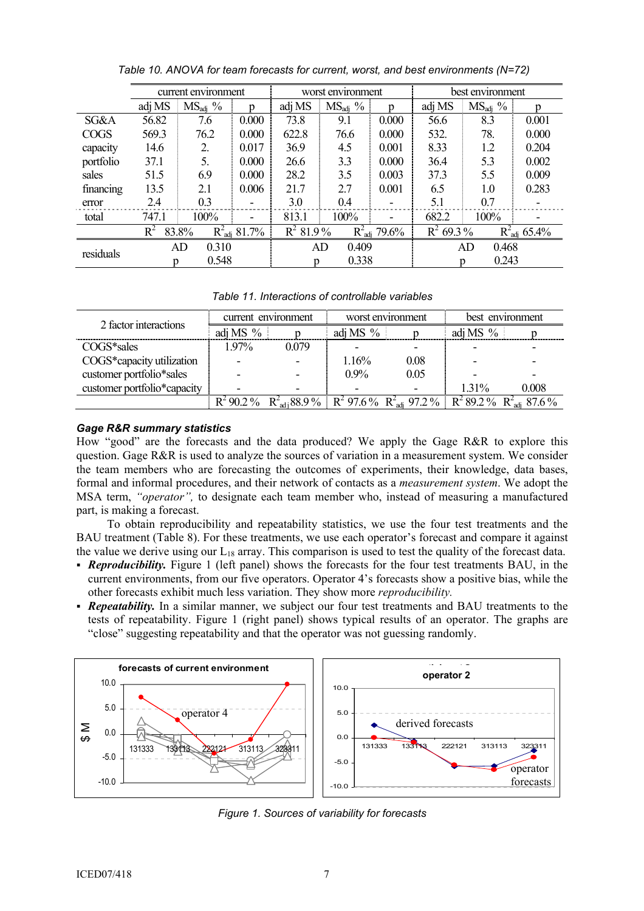|             |                                             | current environment |                                         | worst environment |                     |                          | best environment          |                     |       |
|-------------|---------------------------------------------|---------------------|-----------------------------------------|-------------------|---------------------|--------------------------|---------------------------|---------------------|-------|
|             | adj MS                                      | $MS_{\text{adi}}$ % | n                                       | adj MS            | $MS_{\text{adj}}$ % | p                        | adj MS                    | $MS_{\text{adj}}$ % |       |
| SG&A        | 56.82                                       | 7.6                 | 0.000                                   | 73.8              | 9.1                 | 0.000                    | 56.6                      | 8.3                 | 0.001 |
| <b>COGS</b> | 569.3                                       | 76.2                | 0.000                                   | 622.8             | 76.6                | 0.000                    | 532.                      | 78.                 | 0.000 |
| capacity    | 14.6                                        | 2.                  | 0.017                                   | 36.9              | 4.5                 | 0.001                    | 8.33                      | 1.2                 | 0.204 |
| portfolio   | 37.1                                        | 5.                  | 0.000                                   | 26.6              | 3.3                 | 0.000                    | 36.4                      | 5.3                 | 0.002 |
| sales       | 51.5                                        | 6.9                 | 0.000                                   | 28.2              | 3.5                 | 0.003                    | 37.3                      | 5.5                 | 0.009 |
| financing   | 13.5                                        | 2.1                 | 0.006                                   | 21.7              | 2.7                 | 0.001                    | 6.5                       | 1.0                 | 0.283 |
| error       | 2.4                                         | 0.3                 | $\overline{\phantom{a}}$                | 3.0               | 0.4                 | $\overline{\phantom{a}}$ | 5.1                       | 0.7                 |       |
| total       | 747.1                                       | 100%                |                                         | 813.1             | 100%                |                          | 682.2                     | 100%                |       |
|             | $R^2_{\text{adi}} 81.7\%$<br>$R^2$<br>83.8% |                     | $R^2_{\text{adj}}$ 79.6%<br>$R^2$ 81.9% |                   | $R^2$ 69.3%         |                          | $R^2_{\text{adi}} 65.4\%$ |                     |       |
| residuals   |                                             | 0.310<br>AD         |                                         | 0.409<br>AD       |                     |                          | 0.468<br>AD               |                     |       |
|             |                                             | 0.548<br>n          |                                         |                   | 0.338<br>n          |                          |                           | 0.243<br>n          |       |

*Table 10. ANOVA for team forecasts for current, worst, and best environments (N=72)* 

*Table 11. Interactions of controllable variables* 

| 2 factor interactions       | current environment |       | worst environment |                                                                                                                      | best environment |       |
|-----------------------------|---------------------|-------|-------------------|----------------------------------------------------------------------------------------------------------------------|------------------|-------|
|                             | adj MS $%$          |       | adj MS $%$        |                                                                                                                      | adj MS $%$       |       |
| COGS*sales                  | 197%                | 0.079 |                   |                                                                                                                      |                  |       |
| COGS*capacity utilization   |                     |       | 1.16%             | 0.08                                                                                                                 |                  |       |
| customer portfolio*sales    |                     |       | $0.9\%$           | 0.05                                                                                                                 |                  |       |
| customer portfolio*capacity |                     |       |                   |                                                                                                                      | $1.31\%$         | 0.008 |
|                             |                     |       |                   | $R^2$ 90.2 % $R^2_{\text{adj}}$ 88.9 % $R^2$ 97.6 % $R^2_{\text{adj}}$ 97.2 % $R^2$ 89.2 % $R^2_{\text{adj}}$ 87.6 % |                  |       |

## *Gage R&R summary statistics*

How "good" are the forecasts and the data produced? We apply the Gage R&R to explore this question. Gage  $R\&R$  is used to analyze the sources of variation in a measurement system. We consider the team members who are forecasting the outcomes of experiments, their knowledge, data bases, formal and informal procedures, and their network of contacts as a *measurement system*. We adopt the MSA term, *"operator",* to designate each team member who, instead of measuring a manufactured part, is making a forecast.

 To obtain reproducibility and repeatability statistics, we use the four test treatments and the BAU treatment (Table 8). For these treatments, we use each operator's forecast and compare it against the value we derive using our  $L_{18}$  array. This comparison is used to test the quality of the forecast data.

- *Reproducibility.* Figure 1 (left panel) shows the forecasts for the four test treatments BAU, in the current environments, from our five operators. Operator 4's forecasts show a positive bias, while the other forecasts exhibit much less variation. They show more *reproducibility.*
- **Repeatability.** In a similar manner, we subject our four test treatments and BAU treatments to the tests of repeatability. Figure 1 (right panel) shows typical results of an operator. The graphs are "close" suggesting repeatability and that the operator was not guessing randomly.



*Figure 1. Sources of variability for forecasts*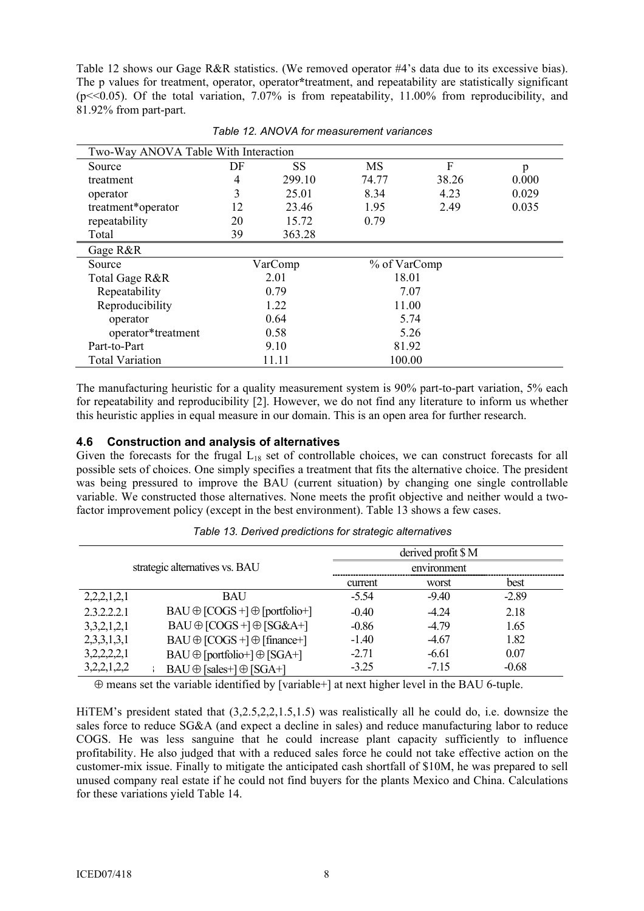Table 12 shows our Gage R&R statistics. (We removed operator #4's data due to its excessive bias). The p values for treatment, operator, operator**\***treatment, and repeatability are statistically significant ( $p \ll 0.05$ ). Of the total variation,  $7.07\%$  is from repeatability, 11.00% from reproducibility, and 81.92% from part-part.

| Two-Way ANOVA Table With Interaction |       |         |              |       |       |
|--------------------------------------|-------|---------|--------------|-------|-------|
| Source                               | DF    | SS      | <b>MS</b>    | F     | p     |
| treatment                            | 4     | 299.10  | 74.77        | 38.26 | 0.000 |
| operator                             | 3     | 25.01   | 8.34         | 4.23  | 0.029 |
| treatment*operator                   | 12    | 23.46   | 1.95         | 2.49  | 0.035 |
| repeatability                        | 20    | 15.72   | 0.79         |       |       |
| Total                                | 39    | 363.28  |              |       |       |
| Gage R&R                             |       |         |              |       |       |
| Source                               |       | VarComp | % of VarComp |       |       |
| Total Gage R&R                       |       | 2.01    | 18.01        |       |       |
| Repeatability                        |       | 0.79    | 7.07         |       |       |
| Reproducibility                      |       | 1.22    | 11.00        |       |       |
| operator                             |       | 0.64    | 5.74         |       |       |
| operator*treatment                   |       | 0.58    | 5.26         |       |       |
| Part-to-Part                         | 9.10  |         | 81.92        |       |       |
| <b>Total Variation</b>               | 11.11 |         | 100.00       |       |       |

*Table 12. ANOVA for measurement variances* 

The manufacturing heuristic for a quality measurement system is 90% part-to-part variation, 5% each for repeatability and reproducibility [2]. However, we do not find any literature to inform us whether this heuristic applies in equal measure in our domain. This is an open area for further research.

#### **4.6 Construction and analysis of alternatives**

Given the forecasts for the frugal  $L_{18}$  set of controllable choices, we can construct forecasts for all possible sets of choices. One simply specifies a treatment that fits the alternative choice. The president was being pressured to improve the BAU (current situation) by changing one single controllable variable. We constructed those alternatives. None meets the profit objective and neither would a twofactor improvement policy (except in the best environment). Table 13 shows a few cases.

| strategic alternatives vs. BAU |                                            |         | derived profit \$ M |         |
|--------------------------------|--------------------------------------------|---------|---------------------|---------|
|                                |                                            |         | environment         |         |
|                                |                                            | current | worst               | best    |
| 2,2,2,1,2,1                    | <b>BAU</b>                                 | $-5.54$ | $-9.40$             | $-2.89$ |
| 2.3.2.2.2.1                    | $BAU \oplus [COGS +] \oplus [portfolio +]$ | $-0.40$ | $-424$              | 2.18    |
| 3,3,2,1,2,1                    | $BAU \oplus [COGS +] \oplus [SG\&A+]$      | $-0.86$ | $-4.79$             | 1.65    |
| 2,3,3,1,3,1                    | $BAU \oplus [COGS +] \oplus [finance +]$   | $-1.40$ | $-4.67$             | 1.82    |
| 3,2,2,2,2,1                    | $BAU \oplus [portfolio+] \oplus [SGA+]$    | $-2.71$ | $-6.61$             | 0.07    |
| 3,2,2,1,2,2                    | $BAU \oplus [sales+] \oplus [SGA+]$        | $-3.25$ | $-7.15$             | $-0.68$ |

*Table 13. Derived predictions for strategic alternatives* 

⊕ means set the variable identified by [variable+] at next higher level in the BAU 6-tuple.

HiTEM's president stated that (3,2.5,2,2,1.5,1.5) was realistically all he could do, i.e. downsize the sales force to reduce SG&A (and expect a decline in sales) and reduce manufacturing labor to reduce COGS. He was less sanguine that he could increase plant capacity sufficiently to influence profitability. He also judged that with a reduced sales force he could not take effective action on the customer-mix issue. Finally to mitigate the anticipated cash shortfall of \$10M, he was prepared to sell unused company real estate if he could not find buyers for the plants Mexico and China. Calculations for these variations yield Table 14.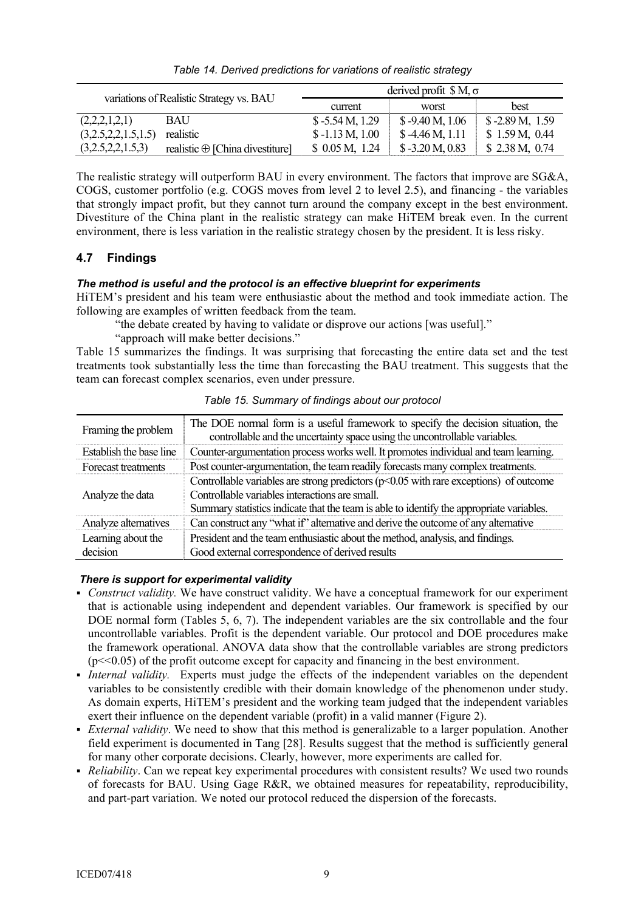| variations of Realistic Strategy vs. BAU |                                        | derived profit $\ S M, \sigma$ |                   |                  |  |
|------------------------------------------|----------------------------------------|--------------------------------|-------------------|------------------|--|
|                                          |                                        | current                        | worst             | best             |  |
| (2,2,2,1,2,1)                            | <b>BAU</b>                             | $$-5.54 M, 1.29$               | $$ -9.40 M, 1.06$ | $$-2.89 M, 1.59$ |  |
| (3,2.5,2,2,1.5,1.5)                      | realistic                              | $$-1.13 M, 1.00$               | $$-4.46 M, 1.11$  | \$1.59 M, 0.44   |  |
| (3,2.5,2,2,1.5,3)                        | realistic $\oplus$ [China divestiture] | \$0.05 M, 1.24                 | $$ -3.20 M, 0.83$ | \$2.38 M, 0.74   |  |

*Table 14. Derived predictions for variations of realistic strategy* 

The realistic strategy will outperform BAU in every environment. The factors that improve are SG&A, COGS, customer portfolio (e.g. COGS moves from level 2 to level 2.5), and financing - the variables that strongly impact profit, but they cannot turn around the company except in the best environment. Divestiture of the China plant in the realistic strategy can make HiTEM break even. In the current environment, there is less variation in the realistic strategy chosen by the president. It is less risky.

# **4.7 Findings**

# *The method is useful and the protocol is an effective blueprint for experiments*

HiTEM's president and his team were enthusiastic about the method and took immediate action. The following are examples of written feedback from the team.

"the debate created by having to validate or disprove our actions [was useful]."

"approach will make better decisions."

Table 15 summarizes the findings. It was surprising that forecasting the entire data set and the test treatments took substantially less the time than forecasting the BAU treatment. This suggests that the team can forecast complex scenarios, even under pressure.

| Framing the problem            | The DOE normal form is a useful framework to specify the decision situation, the<br>controllable and the uncertainty space using the uncontrollable variables.                                                                        |  |  |
|--------------------------------|---------------------------------------------------------------------------------------------------------------------------------------------------------------------------------------------------------------------------------------|--|--|
| Establish the base line        | Counter-argumentation process works well. It promotes individual and team learning.                                                                                                                                                   |  |  |
| Forecast treatments            | Post counter-argumentation, the team readily forecasts many complex treatments.                                                                                                                                                       |  |  |
| Analyze the data               | Controllable variables are strong predictors $(p<0.05$ with rare exceptions) of outcome<br>Controllable variables interactions are small.<br>Summary statistics indicate that the team is able to identify the appropriate variables. |  |  |
| Analyze alternatives           | Can construct any "what if" alternative and derive the outcome of any alternative                                                                                                                                                     |  |  |
| Learning about the<br>decision | President and the team enthusiastic about the method, analysis, and findings.<br>Good external correspondence of derived results                                                                                                      |  |  |

*Table 15. Summary of findings about our protocol* 

## *There is support for experimental validity*

- *Construct validity.* We have construct validity. We have a conceptual framework for our experiment that is actionable using independent and dependent variables. Our framework is specified by our DOE normal form (Tables 5, 6, 7). The independent variables are the six controllable and the four uncontrollable variables. Profit is the dependent variable. Our protocol and DOE procedures make the framework operational. ANOVA data show that the controllable variables are strong predictors  $(p \ll 0.05)$  of the profit outcome except for capacity and financing in the best environment.
- *Internal validity.* Experts must judge the effects of the independent variables on the dependent variables to be consistently credible with their domain knowledge of the phenomenon under study. As domain experts, HiTEM's president and the working team judged that the independent variables exert their influence on the dependent variable (profit) in a valid manner (Figure 2).
- *External validity*. We need to show that this method is generalizable to a larger population. Another field experiment is documented in Tang [28]. Results suggest that the method is sufficiently general for many other corporate decisions. Clearly, however, more experiments are called for.
- *Reliability*. Can we repeat key experimental procedures with consistent results? We used two rounds of forecasts for BAU. Using Gage R&R, we obtained measures for repeatability, reproducibility, and part-part variation. We noted our protocol reduced the dispersion of the forecasts.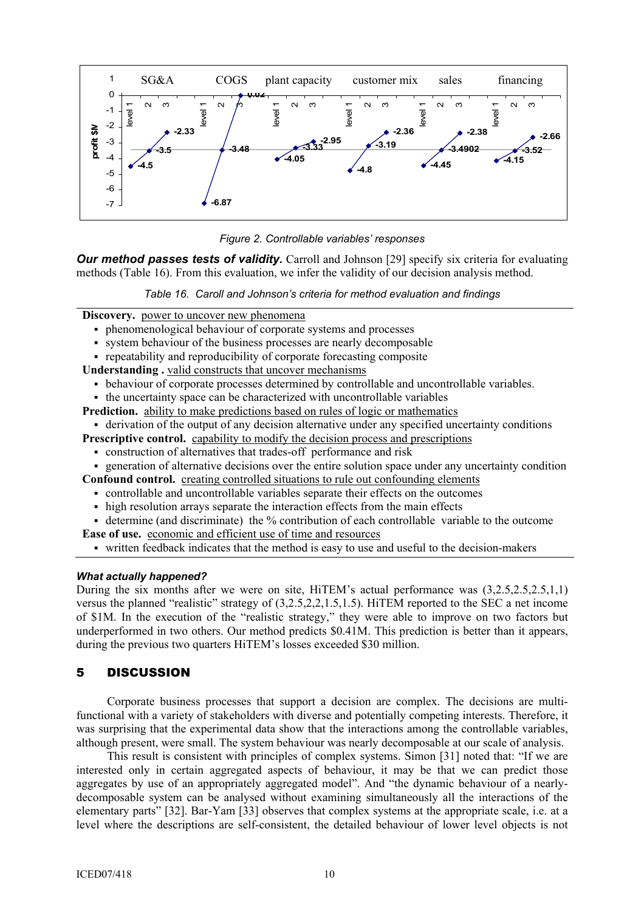



*Our method passes tests of validity.* Carroll and Johnson [29] specify six criteria for evaluating methods (Table 16). From this evaluation, we infer the validity of our decision analysis method.

*Table 16. Caroll and Johnson's criteria for method evaluation and findings* 

**Discovery.** power to uncover new phenomena

- phenomenological behaviour of corporate systems and processes
- system behaviour of the business processes are nearly decomposable
- repeatability and reproducibility of corporate forecasting composite

**Understanding .** valid constructs that uncover mechanisms

- behaviour of corporate processes determined by controllable and uncontrollable variables.
- the uncertainty space can be characterized with uncontrollable variables
- **Prediction.** ability to make predictions based on rules of logic or mathematics
	- derivation of the output of any decision alternative under any specified uncertainty conditions

**Prescriptive control.** capability to modify the decision process and prescriptions

- construction of alternatives that trades-off performance and risk
- generation of alternative decisions over the entire solution space under any uncertainty condition

**Confound control.** creating controlled situations to rule out confounding elements

- controllable and uncontrollable variables separate their effects on the outcomes
- high resolution arrays separate the interaction effects from the main effects
- determine (and discriminate) the % contribution of each controllable variable to the outcome

**Ease of use.** economic and efficient use of time and resources

written feedback indicates that the method is easy to use and useful to the decision-makers

#### *What actually happened?*

During the six months after we were on site, HiTEM's actual performance was (3,2.5,2.5,2.5,1,1) versus the planned "realistic" strategy of (3,2.5,2,2,1.5,1.5). HiTEM reported to the SEC a net income of \$1M. In the execution of the "realistic strategy," they were able to improve on two factors but underperformed in two others. Our method predicts \$0.41M. This prediction is better than it appears, during the previous two quarters HiTEM's losses exceeded \$30 million.

# 5 DISCUSSION

 Corporate business processes that support a decision are complex. The decisions are multifunctional with a variety of stakeholders with diverse and potentially competing interests. Therefore, it was surprising that the experimental data show that the interactions among the controllable variables, although present, were small. The system behaviour was nearly decomposable at our scale of analysis.

 This result is consistent with principles of complex systems. Simon [31] noted that: "If we are interested only in certain aggregated aspects of behaviour, it may be that we can predict those aggregates by use of an appropriately aggregated model". And "the dynamic behaviour of a nearlydecomposable system can be analysed without examining simultaneously all the interactions of the elementary parts" [32]. Bar-Yam [33] observes that complex systems at the appropriate scale, i.e. at a level where the descriptions are self-consistent, the detailed behaviour of lower level objects is not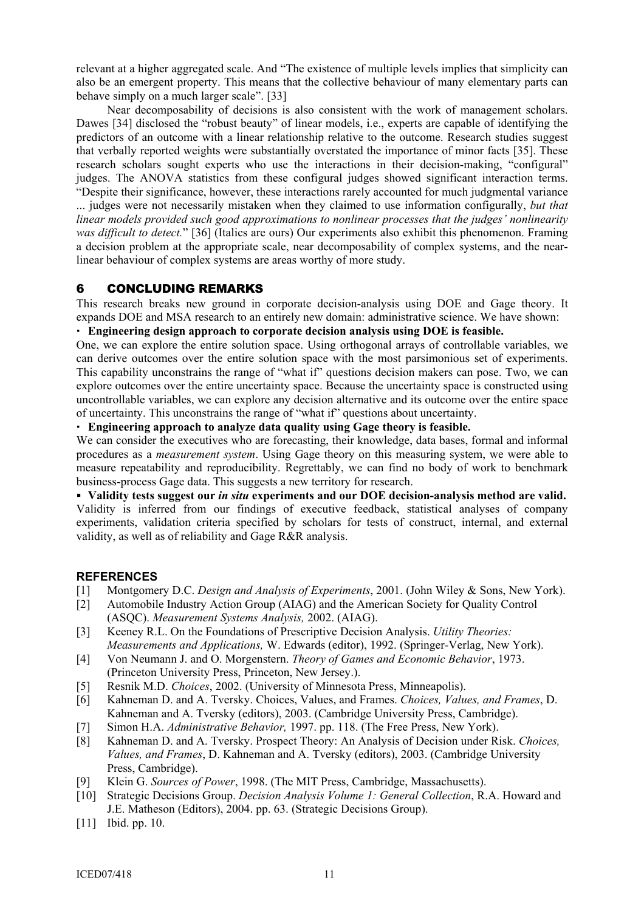relevant at a higher aggregated scale. And "The existence of multiple levels implies that simplicity can also be an emergent property. This means that the collective behaviour of many elementary parts can behave simply on a much larger scale". [33]

 Near decomposability of decisions is also consistent with the work of management scholars. Dawes [34] disclosed the "robust beauty" of linear models, i.e., experts are capable of identifying the predictors of an outcome with a linear relationship relative to the outcome. Research studies suggest that verbally reported weights were substantially overstated the importance of minor facts [35]. These research scholars sought experts who use the interactions in their decision-making, "configural" judges. The ANOVA statistics from these configural judges showed significant interaction terms.

"Despite their significance, however, these interactions rarely accounted for much judgmental variance ... judges were not necessarily mistaken when they claimed to use information configurally, *but that linear models provided such good approximations to nonlinear processes that the judges' nonlinearity was difficult to detect.*" [36] (Italics are ours) Our experiments also exhibit this phenomenon. Framing a decision problem at the appropriate scale, near decomposability of complex systems, and the nearlinear behaviour of complex systems are areas worthy of more study.

## 6 CONCLUDING REMARKS

This research breaks new ground in corporate decision-analysis using DOE and Gage theory. It expands DOE and MSA research to an entirely new domain: administrative science. We have shown:

#### **Engineering design approach to corporate decision analysis using DOE is feasible.**

One, we can explore the entire solution space. Using orthogonal arrays of controllable variables, we can derive outcomes over the entire solution space with the most parsimonious set of experiments. This capability unconstrains the range of "what if" questions decision makers can pose. Two, we can explore outcomes over the entire uncertainty space. Because the uncertainty space is constructed using uncontrollable variables, we can explore any decision alternative and its outcome over the entire space of uncertainty. This unconstrains the range of "what if" questions about uncertainty.

**Engineering approach to analyze data quality using Gage theory is feasible.** 

We can consider the executives who are forecasting, their knowledge, data bases, formal and informal procedures as a *measurement system*. Using Gage theory on this measuring system, we were able to measure repeatability and reproducibility. Regrettably, we can find no body of work to benchmark business-process Gage data. This suggests a new territory for research.

 **Validity tests suggest our** *in situ* **experiments and our DOE decision-analysis method are valid.**  Validity is inferred from our findings of executive feedback, statistical analyses of company experiments, validation criteria specified by scholars for tests of construct, internal, and external validity, as well as of reliability and Gage R&R analysis.

#### **REFERENCES**

- [1] Montgomery D.C. *Design and Analysis of Experiments*, 2001. (John Wiley & Sons, New York).
- [2] Automobile Industry Action Group (AIAG) and the American Society for Quality Control (ASQC). *Measurement Systems Analysis,* 2002. (AIAG).
- [3] Keeney R.L. On the Foundations of Prescriptive Decision Analysis. *Utility Theories: Measurements and Applications,* W. Edwards (editor), 1992. (Springer-Verlag, New York).
- [4] Von Neumann J. and O. Morgenstern. *Theory of Games and Economic Behavior*, 1973. (Princeton University Press, Princeton, New Jersey.).
- [5] Resnik M.D. *Choices*, 2002. (University of Minnesota Press, Minneapolis).
- [6] Kahneman D. and A. Tversky. Choices, Values, and Frames. *Choices, Values, and Frames*, D. Kahneman and A. Tversky (editors), 2003. (Cambridge University Press, Cambridge).
- [7] Simon H.A. *Administrative Behavior,* 1997. pp. 118. (The Free Press, New York).
- [8] Kahneman D. and A. Tversky. Prospect Theory: An Analysis of Decision under Risk. *Choices, Values, and Frames*, D. Kahneman and A. Tversky (editors), 2003. (Cambridge University Press, Cambridge).
- [9] Klein G. *Sources of Power*, 1998. (The MIT Press, Cambridge, Massachusetts).
- [10] Strategic Decisions Group. *Decision Analysis Volume 1: General Collection*, R.A. Howard and J.E. Matheson (Editors), 2004. pp. 63. (Strategic Decisions Group).
- [11] Ibid. pp. 10.